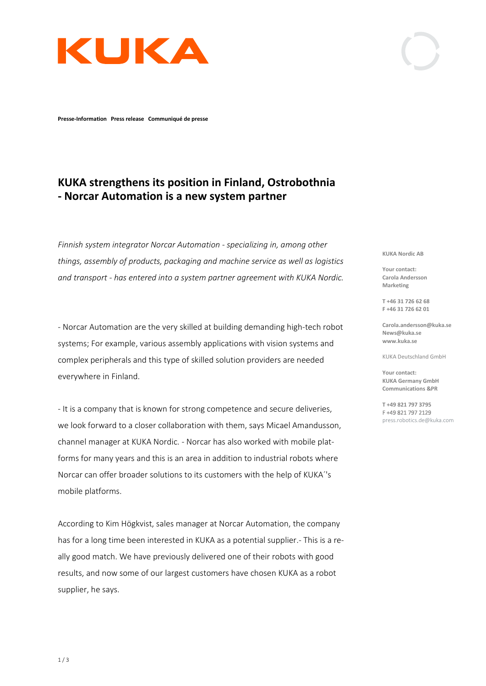

**Presse-Information Press release Communiqué de presse**

## **KUKA strengthens its position in Finland, Ostrobothnia - Norcar Automation is a new system partner**

*Finnish system integrator Norcar Automation - specializing in, among other things, assembly of products, packaging and machine service as well as logistics and transport - has entered into a system partner agreement with KUKA Nordic.*

- Norcar Automation are the very skilled at building demanding high-tech robot systems; For example, various assembly applications with vision systems and complex peripherals and this type of skilled solution providers are needed everywhere in Finland.

- It is a company that is known for strong competence and secure deliveries, we look forward to a closer collaboration with them, says Micael Amandusson, channel manager at KUKA Nordic. - Norcar has also worked with mobile platforms for many years and this is an area in addition to industrial robots where Norcar can offer broader solutions to its customers with the help of KUKA´'s mobile platforms.

According to Kim Högkvist, sales manager at Norcar Automation, the company has for a long time been interested in KUKA as a potential supplier.- This is a really good match. We have previously delivered one of their robots with good results, and now some of our largest customers have chosen KUKA as a robot supplier, he says.

**KUKA Nordic AB**

**Your contact: Carola Andersson Marketing**

**T +46 31 726 62 68 F +46 31 726 62 01**

**Carola.andersson@kuka.se News@kuka.se www.kuka.se**

KUKA Deutschland GmbH

**Your contact: KUKA Germany GmbH Communications &PR**

**T +49 821 797 3795** F +49 821 797 2129 [press.robotics.de@kuka.com](mailto:press.robotics.de@kuka.com)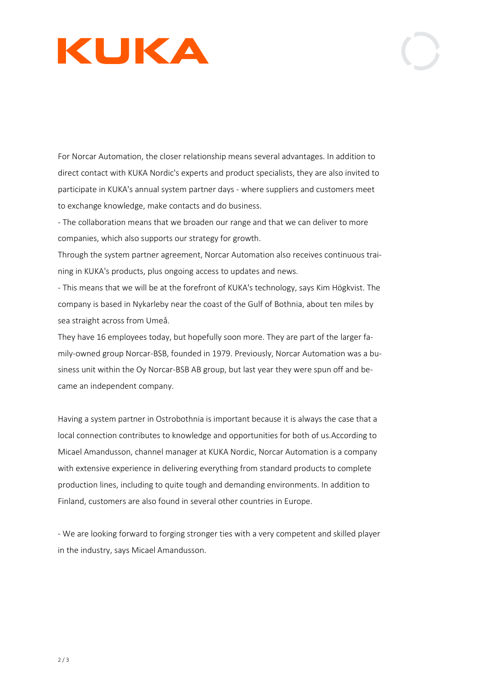

For Norcar Automation, the closer relationship means several advantages. In addition to direct contact with KUKA Nordic's experts and product specialists, they are also invited to participate in KUKA's annual system partner days - where suppliers and customers meet to exchange knowledge, make contacts and do business.

- The collaboration means that we broaden our range and that we can deliver to more companies, which also supports our strategy for growth.

Through the system partner agreement, Norcar Automation also receives continuous training in KUKA's products, plus ongoing access to updates and news.

- This means that we will be at the forefront of KUKA's technology, says Kim Högkvist. The company is based in Nykarleby near the coast of the Gulf of Bothnia, about ten miles by sea straight across from Umeå.

They have 16 employees today, but hopefully soon more. They are part of the larger family-owned group Norcar-BSB, founded in 1979. Previously, Norcar Automation was a business unit within the Oy Norcar-BSB AB group, but last year they were spun off and became an independent company.

Having a system partner in Ostrobothnia is important because it is always the case that a local connection contributes to knowledge and opportunities for both of us.According to Micael Amandusson, channel manager at KUKA Nordic, Norcar Automation is a company with extensive experience in delivering everything from standard products to complete production lines, including to quite tough and demanding environments. In addition to Finland, customers are also found in several other countries in Europe.

- We are looking forward to forging stronger ties with a very competent and skilled player in the industry, says Micael Amandusson.